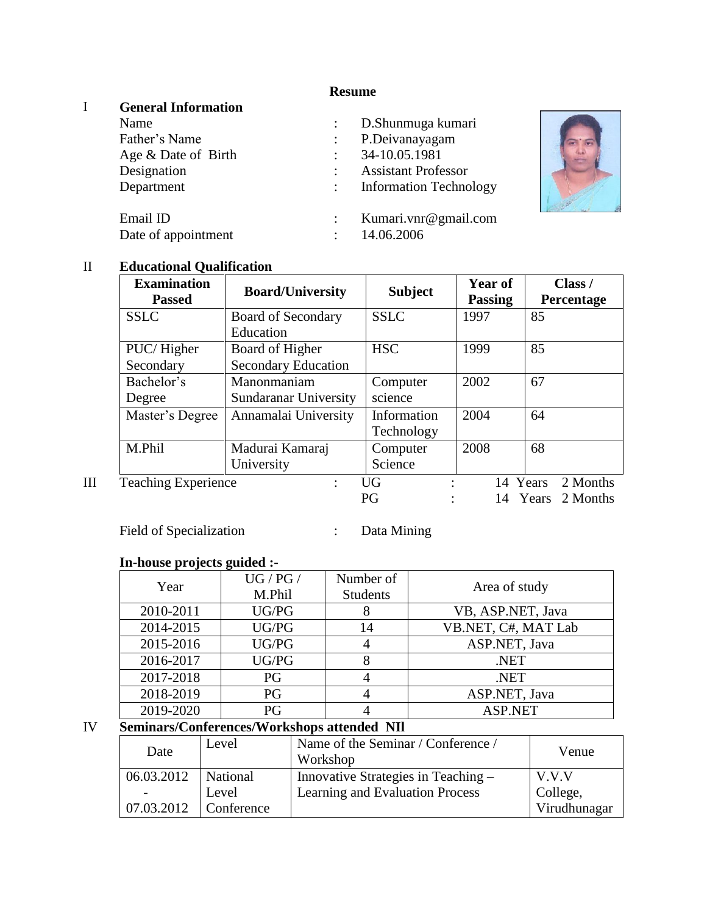## **Resume**

 $\blacksquare$ 

## I **General Information**

| ٠ |                                                                                                                                                           |
|---|-----------------------------------------------------------------------------------------------------------------------------------------------------------|
|   | D.Shunmuga kumari<br>P.Deivanayagam<br>34-10.05.1981<br><b>Assistant Professor</b><br><b>Information Technology</b><br>Kumari.vnr@gmail.com<br>14.06.2006 |

## II **Educational Qualification**

| <b>Examination</b><br><b>Passed</b> | <b>Board/University</b>                       | <b>Subject</b>            | Year of<br><b>Passing</b> | Class /<br>Percentage                     |
|-------------------------------------|-----------------------------------------------|---------------------------|---------------------------|-------------------------------------------|
| <b>SSLC</b>                         | <b>Board of Secondary</b><br>Education        | <b>SSLC</b>               | 1997                      | 85                                        |
| PUC/Higher<br>Secondary             | Board of Higher<br><b>Secondary Education</b> | <b>HSC</b>                | 1999                      | 85                                        |
| Bachelor's<br>Degree                | Manonmaniam<br>Sundaranar University          | Computer<br>science       | 2002                      | 67                                        |
| Master's Degree                     | Annamalai University                          | Information<br>Technology | 2004                      | 64                                        |
| M.Phil                              | Madurai Kamaraj<br>University                 | Computer<br>Science       | 2008                      | 68                                        |
| <b>Teaching Experience</b>          | $\ddot{\phantom{a}}$                          | <b>UG</b><br>PG           |                           | 2 Months<br>14 Years<br>14 Years 2 Months |

Field of Specialization : Data Mining

# **In-house projects guided :-**

| Year      | UG / PG /<br>M.Phil | Number of<br><b>Students</b> | Area of study       |
|-----------|---------------------|------------------------------|---------------------|
| 2010-2011 | UG/PG               |                              | VB, ASP.NET, Java   |
| 2014-2015 | UG/PG               | 14                           | VB.NET, C#, MAT Lab |
| 2015-2016 | UG/PG               |                              | ASP.NET, Java       |
| 2016-2017 | UG/PG               |                              | .NET                |
| 2017-2018 | PG                  |                              | NET.                |
| 2018-2019 | PG                  |                              | ASP.NET, Java       |
| 2019-2020 | РG                  |                              | <b>ASP.NET</b>      |

#### IV **Seminars/Conferences/Workshops attended NIl**

| Date       | Level      | Name of the Seminar / Conference /<br>Workshop | Venue        |
|------------|------------|------------------------------------------------|--------------|
| 06.03.2012 | National   | Innovative Strategies in Teaching -            | V.V.V        |
|            | Level      | Learning and Evaluation Process                | College,     |
| 07.03.2012 | Conference |                                                | Virudhunagar |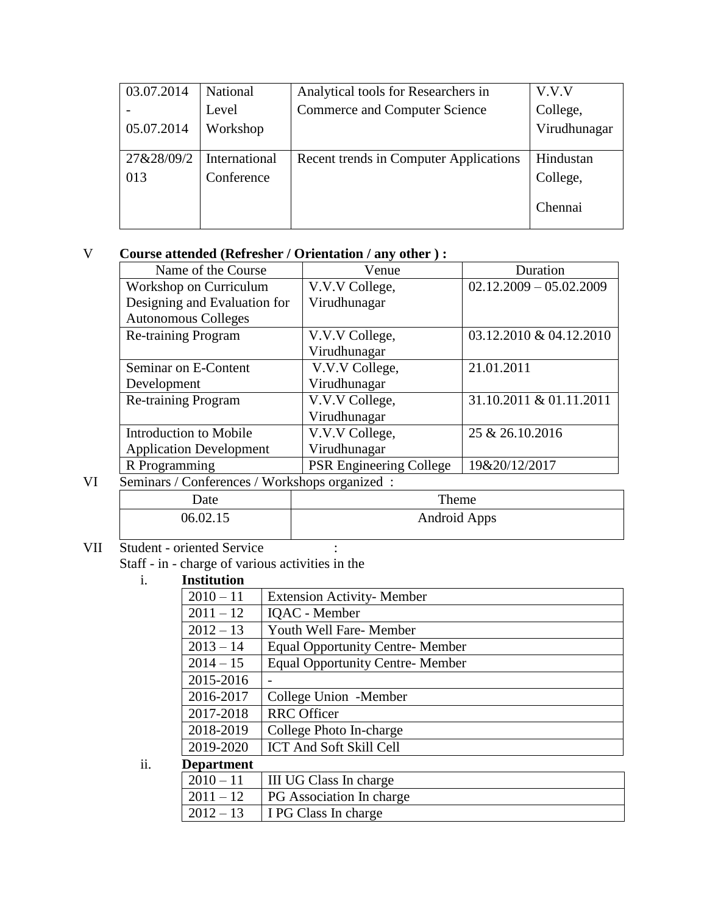| 03.07.2014 | National      | Analytical tools for Researchers in    | V.V.V        |
|------------|---------------|----------------------------------------|--------------|
|            | Level         | <b>Commerce and Computer Science</b>   | College,     |
| 05.07.2014 | Workshop      |                                        | Virudhunagar |
|            |               |                                        |              |
| 27&28/09/2 | International | Recent trends in Computer Applications | Hindustan    |
| 013        | Conference    |                                        | College,     |
|            |               |                                        |              |
|            |               |                                        | Chennai      |
|            |               |                                        |              |

## V **Course attended (Refresher / Orientation / any other ) :**

| Name of the Course                                              | Venue                          | Duration                  |
|-----------------------------------------------------------------|--------------------------------|---------------------------|
| Workshop on Curriculum                                          | V.V.V College,                 | $02.12.2009 - 05.02.2009$ |
| Designing and Evaluation for                                    | Virudhunagar                   |                           |
| <b>Autonomous Colleges</b>                                      |                                |                           |
| Re-training Program                                             | V.V.V College,                 | 03.12.2010 & 04.12.2010   |
|                                                                 | Virudhunagar                   |                           |
| Seminar on E-Content                                            | V.V.V College,                 | 21.01.2011                |
| Development                                                     | Virudhunagar                   |                           |
| <b>Re-training Program</b>                                      | V.V.V College,                 | 31.10.2011 & 01.11.2011   |
|                                                                 | Virudhunagar                   |                           |
| Introduction to Mobile                                          | V.V.V College,                 | 25 & 26.10.2016           |
| <b>Application Development</b>                                  | Virudhunagar                   |                           |
| R Programming                                                   | <b>PSR Engineering College</b> | 19&20/12/2017             |
| $\sqrt{1 + \tau}$<br>$\mathbf{1}$<br>$\alpha$ $\alpha$ $\alpha$ |                                |                           |

## VI Seminars / Conferences / Workshops organized :

|          | ________     |
|----------|--------------|
| Date     | Theme        |
| 06.02.15 | Android Apps |

# VII Student - oriented Service : Staff - in - charge of various activities in the<br>i. **Institution**

#### i. **Institution**

| $2010 - 11$ | <b>Extension Activity-Member</b>       |
|-------------|----------------------------------------|
| $2011 - 12$ | <b>IOAC</b> - Member                   |
| $2012 - 13$ | Youth Well Fare- Member                |
| $2013 - 14$ | <b>Equal Opportunity Centre-Member</b> |
| $2014 - 15$ | <b>Equal Opportunity Centre-Member</b> |
| 2015-2016   |                                        |
| 2016-2017   | College Union -Member                  |
| 2017-2018   | <b>RRC</b> Officer                     |
| 2018-2019   | College Photo In-charge                |
| 2019-2020   | <b>ICT And Soft Skill Cell</b>         |
|             |                                        |

ii. **Department**

| $\vert 2010 - 11 \vert$ III UG Class In charge |
|------------------------------------------------|
| <b>PG</b> Association In charge                |
| $\vert$ 2012 – 13 $\vert$ I PG Class In charge |
|                                                |